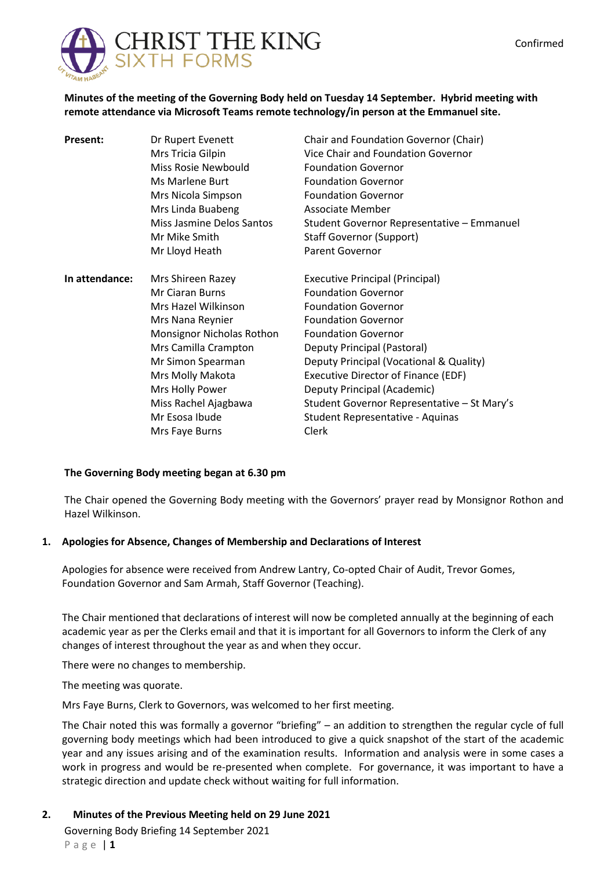

**Minutes of the meeting of the Governing Body held on Tuesday 14 September. Hybrid meeting with remote attendance via Microsoft Teams remote technology/in person at the Emmanuel site.**

| <b>Present:</b> | Dr Rupert Evenett         | Chair and Foundation Governor (Chair)       |
|-----------------|---------------------------|---------------------------------------------|
|                 | Mrs Tricia Gilpin         | Vice Chair and Foundation Governor          |
|                 | Miss Rosie Newbould       | <b>Foundation Governor</b>                  |
|                 | Ms Marlene Burt           | <b>Foundation Governor</b>                  |
|                 | Mrs Nicola Simpson        | <b>Foundation Governor</b>                  |
|                 | Mrs Linda Buabeng         | Associate Member                            |
|                 | Miss Jasmine Delos Santos | Student Governor Representative - Emmanuel  |
|                 | Mr Mike Smith             | Staff Governor (Support)                    |
|                 | Mr Lloyd Heath            | <b>Parent Governor</b>                      |
| In attendance:  | Mrs Shireen Razey         | <b>Executive Principal (Principal)</b>      |
|                 | <b>Mr Ciaran Burns</b>    | <b>Foundation Governor</b>                  |
|                 | Mrs Hazel Wilkinson       | <b>Foundation Governor</b>                  |
|                 | Mrs Nana Reynier          | <b>Foundation Governor</b>                  |
|                 | Monsignor Nicholas Rothon | <b>Foundation Governor</b>                  |
|                 | Mrs Camilla Crampton      | Deputy Principal (Pastoral)                 |
|                 | Mr Simon Spearman         | Deputy Principal (Vocational & Quality)     |
|                 | Mrs Molly Makota          | <b>Executive Director of Finance (EDF)</b>  |
|                 | Mrs Holly Power           | Deputy Principal (Academic)                 |
|                 | Miss Rachel Ajagbawa      | Student Governor Representative - St Mary's |
|                 | Mr Esosa Ibude            | Student Representative - Aquinas            |
|                 | Mrs Faye Burns            | Clerk                                       |

## **The Governing Body meeting began at 6.30 pm**

The Chair opened the Governing Body meeting with the Governors' prayer read by Monsignor Rothon and Hazel Wilkinson.

## **1. Apologies for Absence, Changes of Membership and Declarations of Interest**

Apologies for absence were received from Andrew Lantry, Co-opted Chair of Audit, Trevor Gomes, Foundation Governor and Sam Armah, Staff Governor (Teaching).

The Chair mentioned that declarations of interest will now be completed annually at the beginning of each academic year as per the Clerks email and that it is important for all Governors to inform the Clerk of any changes of interest throughout the year as and when they occur.

There were no changes to membership.

The meeting was quorate.

Mrs Faye Burns, Clerk to Governors, was welcomed to her first meeting.

The Chair noted this was formally a governor "briefing" – an addition to strengthen the regular cycle of full governing body meetings which had been introduced to give a quick snapshot of the start of the academic year and any issues arising and of the examination results. Information and analysis were in some cases a work in progress and would be re-presented when complete. For governance, it was important to have a strategic direction and update check without waiting for full information.

Governing Body Briefing 14 September 2021 P a g e | **1 2. Minutes of the Previous Meeting held on 29 June 2021**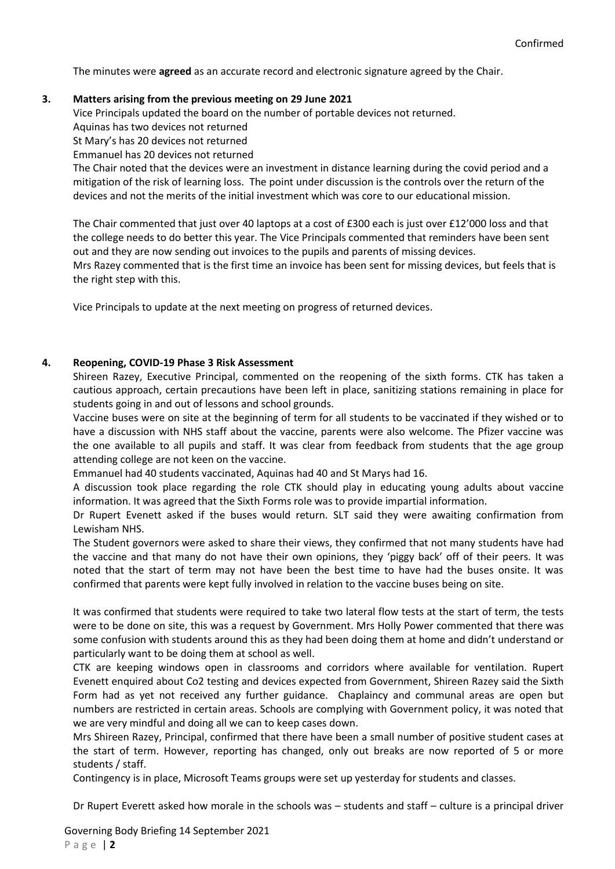The minutes were **agreed** as an accurate record and electronic signature agreed by the Chair.

# **3. Matters arising from the previous meeting on 29 June 2021**

Vice Principals updated the board on the number of portable devices not returned.

Aquinas has two devices not returned

St Mary's has 20 devices not returned

Emmanuel has 20 devices not returned

The Chair noted that the devices were an investment in distance learning during the covid period and a mitigation of the risk of learning loss. The point under discussion is the controls over the return of the devices and not the merits of the initial investment which was core to our educational mission.

The Chair commented that just over 40 laptops at a cost of £300 each is just over £12'000 loss and that the college needs to do better this year. The Vice Principals commented that reminders have been sent out and they are now sending out invoices to the pupils and parents of missing devices.

Mrs Razey commented that is the first time an invoice has been sent for missing devices, but feels that is the right step with this.

Vice Principals to update at the next meeting on progress of returned devices.

# **4. Reopening, COVID-19 Phase 3 Risk Assessment**

Shireen Razey, Executive Principal, commented on the reopening of the sixth forms. CTK has taken a cautious approach, certain precautions have been left in place, sanitizing stations remaining in place for students going in and out of lessons and school grounds.

Vaccine buses were on site at the beginning of term for all students to be vaccinated if they wished or to have a discussion with NHS staff about the vaccine, parents were also welcome. The Pfizer vaccine was the one available to all pupils and staff. It was clear from feedback from students that the age group attending college are not keen on the vaccine.

Emmanuel had 40 students vaccinated, Aquinas had 40 and St Marys had 16.

A discussion took place regarding the role CTK should play in educating young adults about vaccine information. It was agreed that the Sixth Forms role was to provide impartial information.

Dr Rupert Evenett asked if the buses would return. SLT said they were awaiting confirmation from Lewisham NHS.

The Student governors were asked to share their views, they confirmed that not many students have had the vaccine and that many do not have their own opinions, they 'piggy back' off of their peers. It was noted that the start of term may not have been the best time to have had the buses onsite. It was confirmed that parents were kept fully involved in relation to the vaccine buses being on site.

It was confirmed that students were required to take two lateral flow tests at the start of term, the tests were to be done on site, this was a request by Government. Mrs Holly Power commented that there was some confusion with students around this as they had been doing them at home and didn't understand or particularly want to be doing them at school as well.

CTK are keeping windows open in classrooms and corridors where available for ventilation. Rupert Evenett enquired about Co2 testing and devices expected from Government, Shireen Razey said the Sixth Form had as yet not received any further guidance. Chaplaincy and communal areas are open but numbers are restricted in certain areas. Schools are complying with Government policy, it was noted that we are very mindful and doing all we can to keep cases down.

Mrs Shireen Razey, Principal, confirmed that there have been a small number of positive student cases at the start of term. However, reporting has changed, only out breaks are now reported of 5 or more students / staff.

Contingency is in place, Microsoft Teams groups were set up yesterday for students and classes.

Dr Rupert Everett asked how morale in the schools was – students and staff – culture is a principal driver

Governing Body Briefing 14 September 2021 P a g e | **2**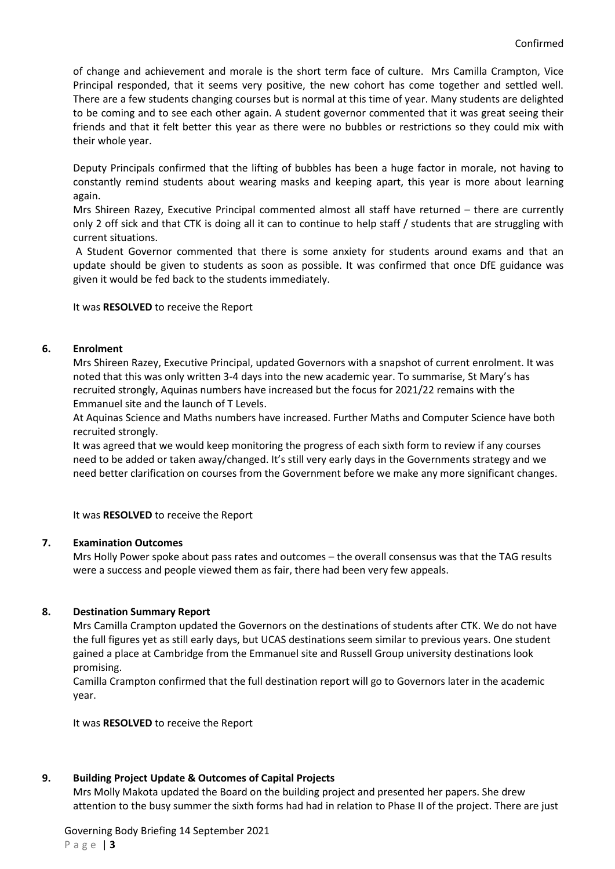of change and achievement and morale is the short term face of culture. Mrs Camilla Crampton, Vice Principal responded, that it seems very positive, the new cohort has come together and settled well. There are a few students changing courses but is normal at this time of year. Many students are delighted to be coming and to see each other again. A student governor commented that it was great seeing their friends and that it felt better this year as there were no bubbles or restrictions so they could mix with their whole year.

Deputy Principals confirmed that the lifting of bubbles has been a huge factor in morale, not having to constantly remind students about wearing masks and keeping apart, this year is more about learning again.

Mrs Shireen Razey, Executive Principal commented almost all staff have returned – there are currently only 2 off sick and that CTK is doing all it can to continue to help staff / students that are struggling with current situations.

A Student Governor commented that there is some anxiety for students around exams and that an update should be given to students as soon as possible. It was confirmed that once DfE guidance was given it would be fed back to the students immediately.

It was **RESOLVED** to receive the Report

#### **6. Enrolment**

Mrs Shireen Razey, Executive Principal, updated Governors with a snapshot of current enrolment. It was noted that this was only written 3-4 days into the new academic year. To summarise, St Mary's has recruited strongly, Aquinas numbers have increased but the focus for 2021/22 remains with the Emmanuel site and the launch of T Levels.

At Aquinas Science and Maths numbers have increased. Further Maths and Computer Science have both recruited strongly.

It was agreed that we would keep monitoring the progress of each sixth form to review if any courses need to be added or taken away/changed. It's still very early days in the Governments strategy and we need better clarification on courses from the Government before we make any more significant changes.

It was **RESOLVED** to receive the Report

#### **7. Examination Outcomes**

Mrs Holly Power spoke about pass rates and outcomes – the overall consensus was that the TAG results were a success and people viewed them as fair, there had been very few appeals.

#### **8. Destination Summary Report**

Mrs Camilla Crampton updated the Governors on the destinations of students after CTK. We do not have the full figures yet as still early days, but UCAS destinations seem similar to previous years. One student gained a place at Cambridge from the Emmanuel site and Russell Group university destinations look promising.

Camilla Crampton confirmed that the full destination report will go to Governors later in the academic year.

It was **RESOLVED** to receive the Report

#### **9. Building Project Update & Outcomes of Capital Projects**

Mrs Molly Makota updated the Board on the building project and presented her papers. She drew attention to the busy summer the sixth forms had had in relation to Phase II of the project. There are just

Governing Body Briefing 14 September 2021 P a g e | **3**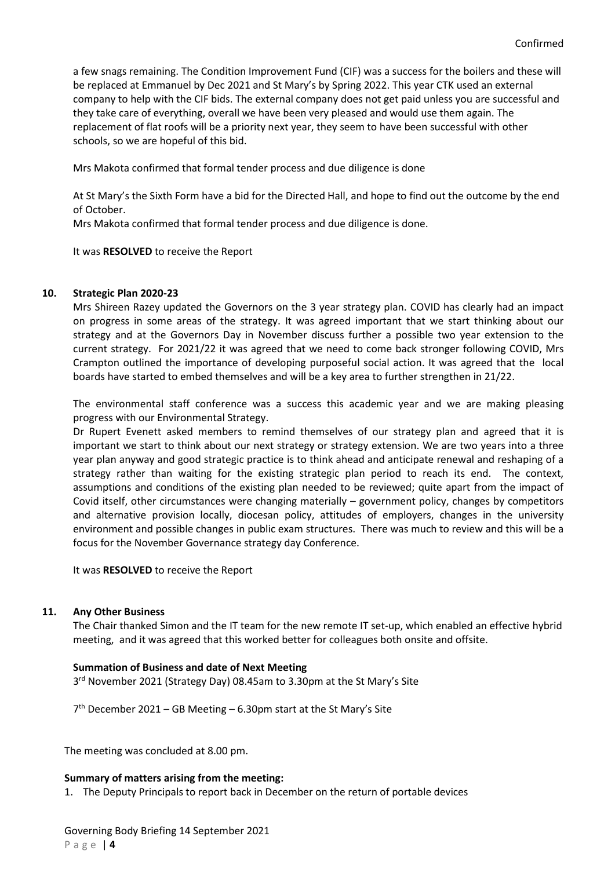a few snags remaining. The Condition Improvement Fund (CIF) was a success for the boilers and these will be replaced at Emmanuel by Dec 2021 and St Mary's by Spring 2022. This year CTK used an external company to help with the CIF bids. The external company does not get paid unless you are successful and they take care of everything, overall we have been very pleased and would use them again. The replacement of flat roofs will be a priority next year, they seem to have been successful with other schools, so we are hopeful of this bid.

Mrs Makota confirmed that formal tender process and due diligence is done

At St Mary's the Sixth Form have a bid for the Directed Hall, and hope to find out the outcome by the end of October.

Mrs Makota confirmed that formal tender process and due diligence is done.

It was **RESOLVED** to receive the Report

#### **10. Strategic Plan 2020-23**

Mrs Shireen Razey updated the Governors on the 3 year strategy plan. COVID has clearly had an impact on progress in some areas of the strategy. It was agreed important that we start thinking about our strategy and at the Governors Day in November discuss further a possible two year extension to the current strategy. For 2021/22 it was agreed that we need to come back stronger following COVID, Mrs Crampton outlined the importance of developing purposeful social action. It was agreed that the local boards have started to embed themselves and will be a key area to further strengthen in 21/22.

The environmental staff conference was a success this academic year and we are making pleasing progress with our Environmental Strategy.

Dr Rupert Evenett asked members to remind themselves of our strategy plan and agreed that it is important we start to think about our next strategy or strategy extension. We are two years into a three year plan anyway and good strategic practice is to think ahead and anticipate renewal and reshaping of a strategy rather than waiting for the existing strategic plan period to reach its end. The context, assumptions and conditions of the existing plan needed to be reviewed; quite apart from the impact of Covid itself, other circumstances were changing materially – government policy, changes by competitors and alternative provision locally, diocesan policy, attitudes of employers, changes in the university environment and possible changes in public exam structures. There was much to review and this will be a focus for the November Governance strategy day Conference.

It was **RESOLVED** to receive the Report

# **11. Any Other Business**

The Chair thanked Simon and the IT team for the new remote IT set-up, which enabled an effective hybrid meeting, and it was agreed that this worked better for colleagues both onsite and offsite.

# **Summation of Business and date of Next Meeting**

3<sup>rd</sup> November 2021 (Strategy Day) 08.45am to 3.30pm at the St Mary's Site

7 th December 2021 – GB Meeting – 6.30pm start at the St Mary's Site

The meeting was concluded at 8.00 pm.

## **Summary of matters arising from the meeting:**

1. The Deputy Principals to report back in December on the return of portable devices

Governing Body Briefing 14 September 2021 P a g e | **4**